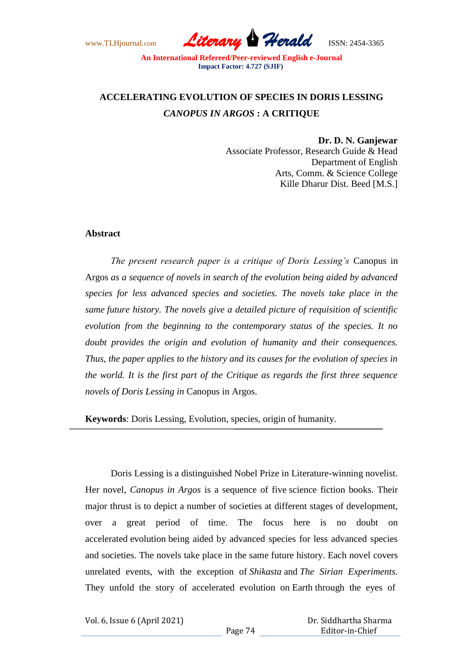## **ACCELERATING EVOLUTION OF SPECIES IN DORIS LESSING**  *CANOPUS IN ARGOS* **: A CRITIQUE**

**Dr. D. N. Ganjewar** Associate Professor, Research Guide & Head Department of English Arts, Comm. & Science College Kille Dharur Dist. Beed [M.S.]

## **Abstract**

*The present research paper is a critique of Doris Lessing's* Canopus in Argos *as a sequence of novels in search of the evolution being aided by advanced species for less advanced species and societies. The novels take place in the same future history. The novels give a detailed picture of requisition of scientific evolution from the beginning to the contemporary status of the species. It no doubt provides the origin and evolution of humanity and their consequences. Thus, the paper applies to the history and its causes for the evolution of species in the world. It is the first part of the Critique as regards the first three sequence novels of Doris Lessing in* Canopus in Argos.

**Keywords**: Doris Lessing, Evolution, species, origin of humanity.

Doris Lessing is a distinguished Nobel Prize in Literature-winning novelist. Her novel, *Canopus in Argos* is a sequence of five science fiction books. Their major thrust is to depict a number of societies at different stages of development, over a great period of time. The focus here is no doubt on accelerated evolution being aided by advanced species for less advanced species and societies. The novels take place in the same future history. Each novel covers unrelated events, with the exception of *Shikasta* and *The Sirian Experiments.*  They unfold the story of accelerated evolution on Earth through the eyes of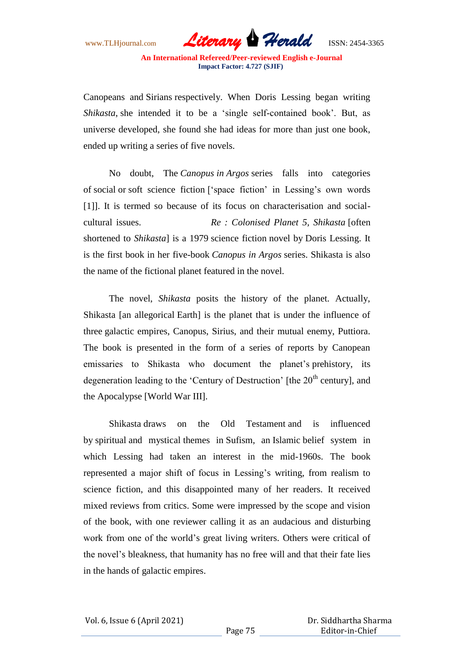Canopeans and Sirians respectively. When Doris Lessing began writing *Shikasta*, she intended it to be a "single self-contained book". But, as universe developed, she found she had ideas for more than just one book, ended up writing a series of five novels.

No doubt, The *Canopus in Argos* series falls into categories of social or soft science fiction ["space fiction" in Lessing"s own words [1]. It is termed so because of its focus on characterisation and socialcultural issues. *Re : Colonised Planet 5, Shikasta* [often shortened to *Shikasta*] is a 1979 science fiction novel by Doris Lessing. It is the first book in her five-book *Canopus in Argos* series. Shikasta is also the name of the fictional planet featured in the novel.

The novel, *Shikasta* posits the history of the planet. Actually, Shikasta [an allegorical Earth] is the planet that is under the influence of three galactic empires, Canopus, Sirius, and their mutual enemy, Puttiora. The book is presented in the form of a series of reports by Canopean emissaries to Shikasta who document the planet's prehistory, its degeneration leading to the 'Century of Destruction' [the  $20<sup>th</sup>$  century], and the Apocalypse [World War III].

Shikasta draws on the Old Testament and is influenced by spiritual and mystical themes in Sufism, an Islamic belief system in which Lessing had taken an interest in the mid-1960s. The book represented a major shift of focus in Lessing"s writing, from realism to science fiction, and this disappointed many of her readers. It received mixed reviews from critics. Some were impressed by the scope and vision of the book, with one reviewer calling it as an audacious and disturbing work from one of the world"s great living writers. Others were critical of the novel"s bleakness, that humanity has no free will and that their fate lies in the hands of galactic empires.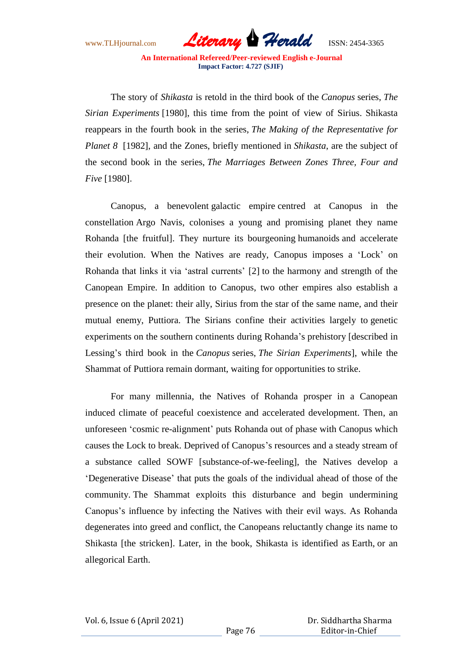The story of *Shikasta* is retold in the third book of the *Canopus* series, *The Sirian Experiments* [1980], this time from the point of view of Sirius. Shikasta reappears in the fourth book in the series, *The Making of the Representative for Planet 8* [1982], and the Zones, briefly mentioned in *Shikasta*, are the subject of the second book in the series, *The Marriages Between Zones Three, Four and Five* [1980].

Canopus, a benevolent galactic empire centred at Canopus in the constellation Argo Navis, colonises a young and promising planet they name Rohanda [the fruitful]. They nurture its bourgeoning humanoids and accelerate their evolution. When the Natives are ready, Canopus imposes a "Lock" on Rohanda that links it via "astral currents" [2] to the harmony and strength of the Canopean Empire. In addition to Canopus, two other empires also establish a presence on the planet: their ally, Sirius from the star of the same name, and their mutual enemy, Puttiora. The Sirians confine their activities largely to genetic experiments on the southern continents during Rohanda"s prehistory [described in Lessing"s third book in the *Canopus* series, *The Sirian Experiments*], while the Shammat of Puttiora remain dormant, waiting for opportunities to strike.

For many millennia, the Natives of Rohanda prosper in a Canopean induced climate of peaceful coexistence and accelerated development. Then, an unforeseen "cosmic re-alignment" puts Rohanda out of phase with Canopus which causes the Lock to break. Deprived of Canopus's resources and a steady stream of a substance called SOWF [substance-of-we-feeling], the Natives develop a "Degenerative Disease" that puts the goals of the individual ahead of those of the community. The Shammat exploits this disturbance and begin undermining Canopus"s influence by infecting the Natives with their evil ways. As Rohanda degenerates into greed and conflict, the Canopeans reluctantly change its name to Shikasta [the stricken]. Later, in the book, Shikasta is identified as Earth, or an allegorical Earth.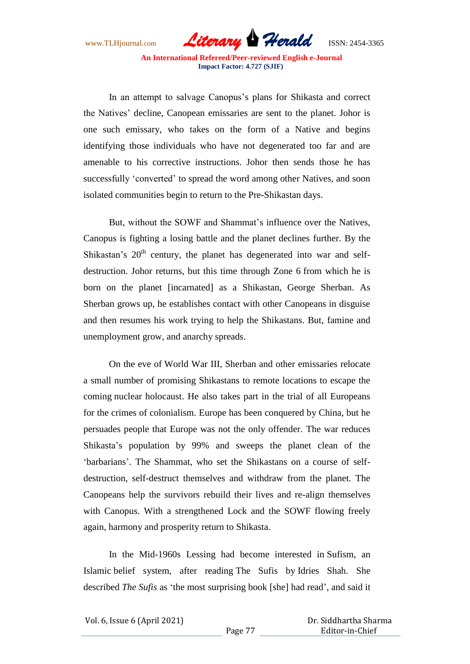

In an attempt to salvage Canopus's plans for Shikasta and correct the Natives" decline, Canopean emissaries are sent to the planet. Johor is one such emissary, who takes on the form of a Native and begins identifying those individuals who have not degenerated too far and are amenable to his corrective instructions. Johor then sends those he has successfully 'converted' to spread the word among other Natives, and soon isolated communities begin to return to the Pre-Shikastan days.

But, without the SOWF and Shammat's influence over the Natives. Canopus is fighting a losing battle and the planet declines further. By the Shikastan's 20<sup>th</sup> century, the planet has degenerated into war and selfdestruction. Johor returns, but this time through Zone 6 from which he is born on the planet [incarnated] as a Shikastan, George Sherban. As Sherban grows up, he establishes contact with other Canopeans in disguise and then resumes his work trying to help the Shikastans. But, famine and unemployment grow, and anarchy spreads.

On the eve of World War III, Sherban and other emissaries relocate a small number of promising Shikastans to remote locations to escape the coming nuclear holocaust. He also takes part in the trial of all Europeans for the crimes of colonialism. Europe has been conquered by China, but he persuades people that Europe was not the only offender. The war reduces Shikasta"s population by 99% and sweeps the planet clean of the "barbarians". The Shammat, who set the Shikastans on a course of selfdestruction, self-destruct themselves and withdraw from the planet. The Canopeans help the survivors rebuild their lives and re-align themselves with Canopus. With a strengthened Lock and the SOWF flowing freely again, harmony and prosperity return to Shikasta.

In the Mid-1960s Lessing had become interested in Sufism, an Islamic belief system, after reading The Sufis by Idries Shah. She described *The Sufis* as "the most surprising book [she] had read", and said it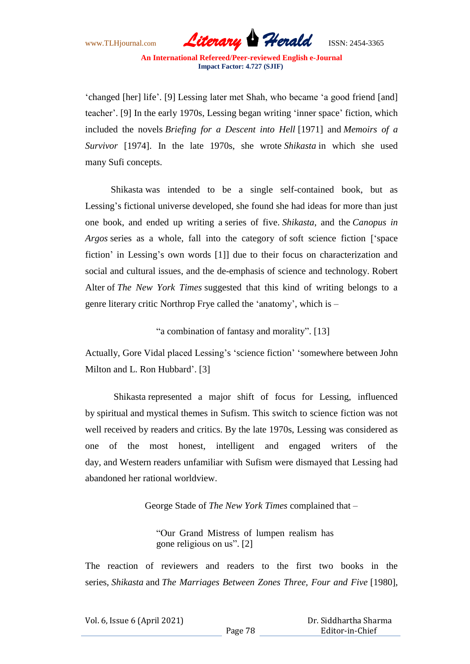"changed [her] life". [9] Lessing later met Shah, who became "a good friend [and] teacher". [9] In the early 1970s, Lessing began writing "inner space" fiction, which included the novels *Briefing for a Descent into Hell* [1971] and *Memoirs of a Survivor* [1974]. In the late 1970s, she wrote *Shikasta* in which she used many Sufi concepts.

Shikasta was intended to be a single self-contained book, but as Lessing's fictional universe developed, she found she had ideas for more than just one book, and ended up writing a series of five. *Shikasta*, and the *Canopus in Argos* series as a whole, fall into the category of soft science fiction ["space fiction' in Lessing's own words [1]] due to their focus on characterization and social and cultural issues, and the de-emphasis of science and technology. Robert Alter of *The New York Times* suggested that this kind of writing belongs to a genre literary critic Northrop Frye called the "anatomy", which is –

"a combination of fantasy and morality". [13]

Actually, Gore Vidal placed Lessing's 'science fiction' 'somewhere between John Milton and L. Ron Hubbard'. [3]

Shikasta represented a major shift of focus for Lessing, influenced by spiritual and mystical themes in Sufism. This switch to science fiction was not well received by readers and critics. By the late 1970s, Lessing was considered as one of the most honest, intelligent and engaged writers of the day, and Western readers unfamiliar with Sufism were dismayed that Lessing had abandoned her rational worldview.

George Stade of *The New York Times* complained that –

"Our Grand Mistress of lumpen realism has gone religious on us". [2]

The reaction of reviewers and readers to the first two books in the series, *Shikasta* and *The Marriages Between Zones Three, Four and Five* [1980],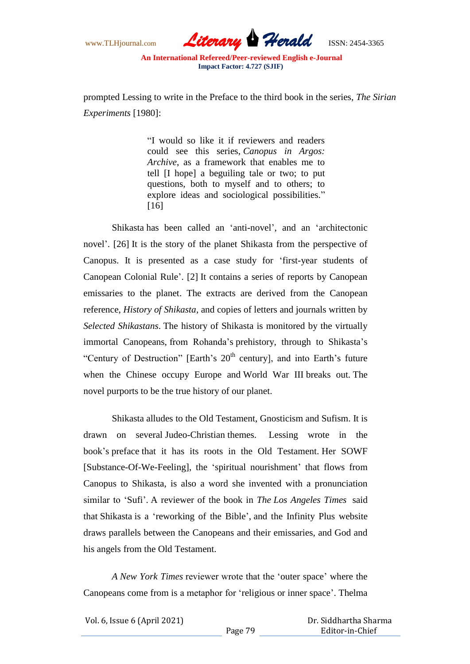www.TLHjournal.com *Literary Herald*ISSN: 2454-3365

prompted Lessing to write in the Preface to the third book in the series, *The Sirian Experiments* [1980]:

> "I would so like it if reviewers and readers could see this series, *Canopus in Argos: Archive*, as a framework that enables me to tell [I hope] a beguiling tale or two; to put questions, both to myself and to others; to explore ideas and sociological possibilities." [16]

Shikasta has been called an "anti-novel", and an "architectonic novel". [26] It is the story of the planet Shikasta from the perspective of Canopus. It is presented as a case study for "first-year students of Canopean Colonial Rule". [2] It contains a series of reports by Canopean emissaries to the planet. The extracts are derived from the Canopean reference, *History of Shikasta*, and copies of letters and journals written by *Selected Shikastans*. The history of Shikasta is monitored by the virtually immortal Canopeans, from Rohanda"s prehistory, through to Shikasta"s "Century of Destruction" [Earth's  $20<sup>th</sup>$  century], and into Earth's future when the Chinese occupy Europe and World War III breaks out. The novel purports to be the true history of our planet.

Shikasta alludes to the Old Testament, Gnosticism and Sufism. It is drawn on several Judeo-Christian themes. Lessing wrote in the book"s preface that it has its roots in the Old Testament. Her SOWF [Substance-Of-We-Feeling], the 'spiritual nourishment' that flows from Canopus to Shikasta, is also a word she invented with a pronunciation similar to "Sufi". A reviewer of the book in *The Los Angeles Times* said that Shikasta is a "reworking of the Bible", and the Infinity Plus website draws parallels between the Canopeans and their emissaries, and God and his angels from the Old Testament.

*A New York Times* reviewer wrote that the "outer space" where the Canopeans come from is a metaphor for "religious or inner space". Thelma

Vol. 6, Issue 6 (April 2021)

 Dr. Siddhartha Sharma Editor-in-Chief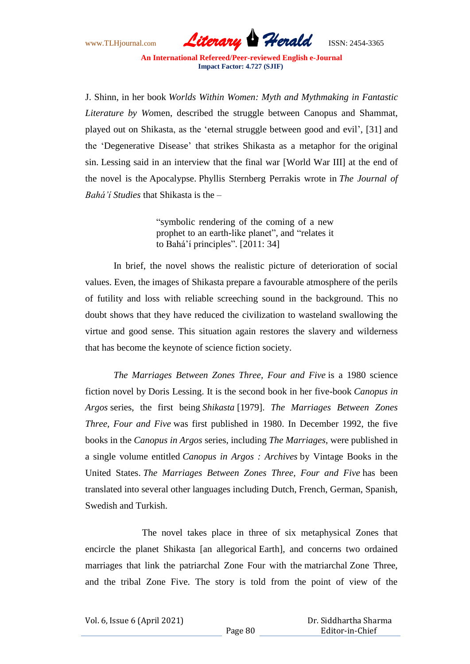

J. Shinn, in her book *Worlds Within Women: Myth and Mythmaking in Fantastic Literature by Wo*men, described the struggle between Canopus and Shammat, played out on Shikasta, as the "eternal struggle between good and evil", [31] and the "Degenerative Disease" that strikes Shikasta as a metaphor for the original sin. Lessing said in an interview that the final war [World War III] at the end of the novel is the Apocalypse. Phyllis Sternberg Perrakis wrote in *The Journal of Bahá'í Studies* that Shikasta is the –

> "symbolic rendering of the coming of a new prophet to an earth-like planet", and "relates it to Bahá"í principles". [2011: 34]

In brief, the novel shows the realistic picture of deterioration of social values. Even, the images of Shikasta prepare a favourable atmosphere of the perils of futility and loss with reliable screeching sound in the background. This no doubt shows that they have reduced the civilization to wasteland swallowing the virtue and good sense. This situation again restores the slavery and wilderness that has become the keynote of science fiction society.

*The Marriages Between Zones Three, Four and Five* is a 1980 science fiction novel by Doris Lessing. It is the second book in her five-book *Canopus in Argos* series, the first being *Shikasta* [1979]. *The Marriages Between Zones Three, Four and Five* was first published in 1980. In December 1992, the five books in the *Canopus in Argos* series, including *The Marriages*, were published in a single volume entitled *Canopus in Argos : Archives* by Vintage Books in the United States. *The Marriages Between Zones Three, Four and Five* has been translated into several other languages including Dutch, French, German, Spanish, Swedish and Turkish.

The novel takes place in three of six metaphysical Zones that encircle the planet Shikasta [an allegorical Earth], and concerns two ordained marriages that link the patriarchal Zone Four with the matriarchal Zone Three, and the tribal Zone Five. The story is told from the point of view of the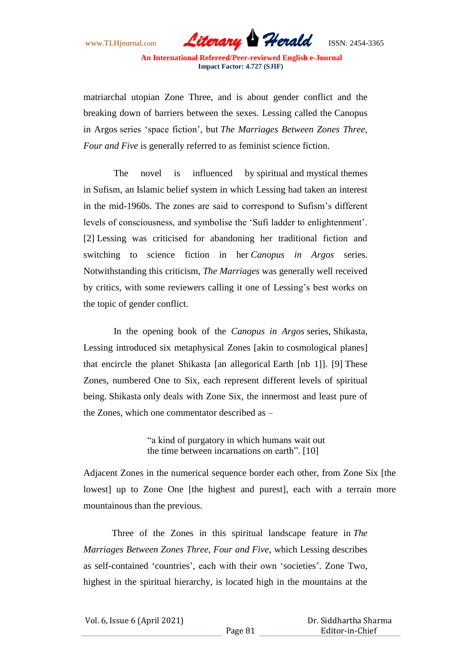www.TLHjournal.com *Literary Herald*ISSN: 2454-3365

matriarchal utopian Zone Three, and is about gender conflict and the breaking down of barriers between the sexes. Lessing called the Canopus in Argos series "space fiction", but *The Marriages Between Zones Three, Four and Five* is generally referred to as feminist science fiction.

The novel is influenced by spiritual and mystical themes in Sufism, an Islamic belief system in which Lessing had taken an interest in the mid-1960s. The zones are said to correspond to Sufism"s different levels of consciousness, and symbolise the "Sufi ladder to enlightenment". [2] Lessing was criticised for abandoning her traditional fiction and switching to science fiction in her *Canopus in Argos* series. Notwithstanding this criticism, *The Marriages* was generally well received by critics, with some reviewers calling it one of Lessing"s best works on the topic of gender conflict.

In the opening book of the *Canopus in Argos* series, Shikasta, Lessing introduced six metaphysical Zones [akin to cosmological planes] that encircle the planet Shikasta [an allegorical Earth [nb 1]]. [9] These Zones, numbered One to Six, each represent different levels of spiritual being. Shikasta only deals with Zone Six, the innermost and least pure of the Zones, which one commentator described as –

> "a kind of purgatory in which humans wait out the time between incarnations on earth". [10]

Adjacent Zones in the numerical sequence border each other, from Zone Six [the lowest] up to Zone One [the highest and purest], each with a terrain more mountainous than the previous.

Three of the Zones in this spiritual landscape feature in *The Marriages Between Zones Three, Four and Five*, which Lessing describes as self-contained 'countries', each with their own 'societies'. Zone Two, highest in the spiritual hierarchy, is located high in the mountains at the

| Vol. 6, Issue 6 (April 2021) |  |  |
|------------------------------|--|--|
|                              |  |  |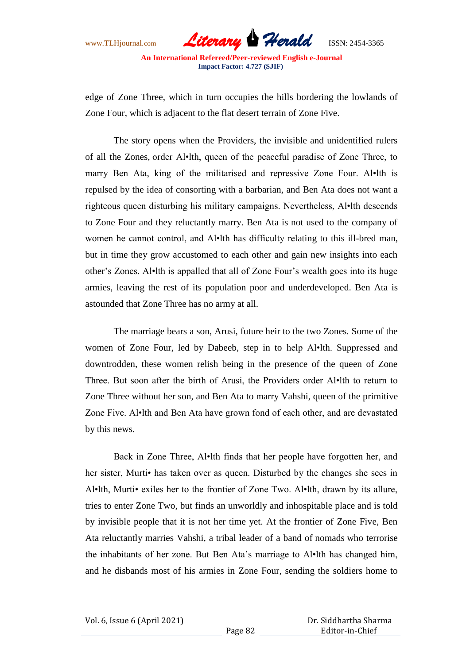edge of Zone Three, which in turn occupies the hills bordering the lowlands of Zone Four, which is adjacent to the flat desert terrain of Zone Five.

The story opens when the Providers, the invisible and unidentified rulers of all the Zones, order Al•lth, queen of the peaceful paradise of Zone Three, to marry Ben Ata, king of the militarised and repressive Zone Four. Al•lth is repulsed by the idea of consorting with a barbarian, and Ben Ata does not want a righteous queen disturbing his military campaigns. Nevertheless, Al•lth descends to Zone Four and they reluctantly marry. Ben Ata is not used to the company of women he cannot control, and Al•lth has difficulty relating to this ill-bred man, but in time they grow accustomed to each other and gain new insights into each other"s Zones. Al•lth is appalled that all of Zone Four"s wealth goes into its huge armies, leaving the rest of its population poor and underdeveloped. Ben Ata is astounded that Zone Three has no army at all.

The marriage bears a son, Arusi, future heir to the two Zones. Some of the women of Zone Four, led by Dabeeb, step in to help Al•lth. Suppressed and downtrodden, these women relish being in the presence of the queen of Zone Three. But soon after the birth of Arusi, the Providers order Al•lth to return to Zone Three without her son, and Ben Ata to marry Vahshi, queen of the primitive Zone Five. Al•lth and Ben Ata have grown fond of each other, and are devastated by this news.

Back in Zone Three, Al•lth finds that her people have forgotten her, and her sister, Murti• has taken over as queen. Disturbed by the changes she sees in Al•lth, Murti• exiles her to the frontier of Zone Two. Al•lth, drawn by its allure, tries to enter Zone Two, but finds an unworldly and inhospitable place and is told by invisible people that it is not her time yet. At the frontier of Zone Five, Ben Ata reluctantly marries Vahshi, a tribal leader of a band of nomads who terrorise the inhabitants of her zone. But Ben Ata"s marriage to Al•lth has changed him, and he disbands most of his armies in Zone Four, sending the soldiers home to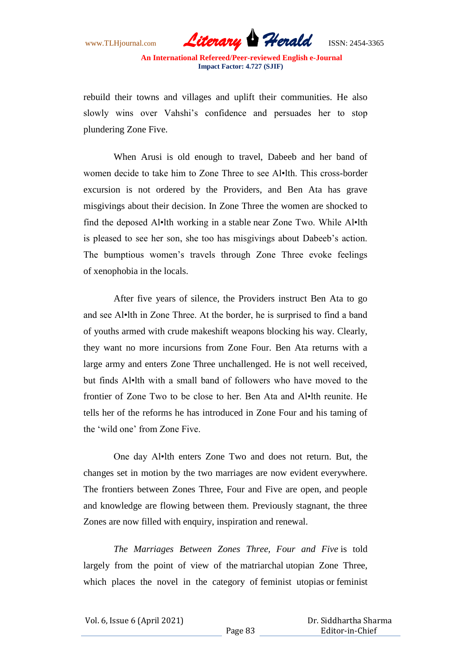www.TLHjournal.com *Literary Herald*ISSN: 2454-3365

rebuild their towns and villages and uplift their communities. He also slowly wins over Vahshi"s confidence and persuades her to stop plundering Zone Five.

When Arusi is old enough to travel, Dabeeb and her band of women decide to take him to Zone Three to see Al•lth. This cross-border excursion is not ordered by the Providers, and Ben Ata has grave misgivings about their decision. In Zone Three the women are shocked to find the deposed Al•lth working in a stable near Zone Two. While Al•lth is pleased to see her son, she too has misgivings about Dabeeb"s action. The bumptious women"s travels through Zone Three evoke feelings of xenophobia in the locals.

After five years of silence, the Providers instruct Ben Ata to go and see Al•lth in Zone Three. At the border, he is surprised to find a band of youths armed with crude makeshift weapons blocking his way. Clearly, they want no more incursions from Zone Four. Ben Ata returns with a large army and enters Zone Three unchallenged. He is not well received, but finds Al•lth with a small band of followers who have moved to the frontier of Zone Two to be close to her. Ben Ata and Al•lth reunite. He tells her of the reforms he has introduced in Zone Four and his taming of the "wild one" from Zone Five.

One day Al•lth enters Zone Two and does not return. But, the changes set in motion by the two marriages are now evident everywhere. The frontiers between Zones Three, Four and Five are open, and people and knowledge are flowing between them. Previously stagnant, the three Zones are now filled with enquiry, inspiration and renewal.

*The Marriages Between Zones Three, Four and Five* is told largely from the point of view of the matriarchal utopian Zone Three, which places the novel in the category of feminist utopias or feminist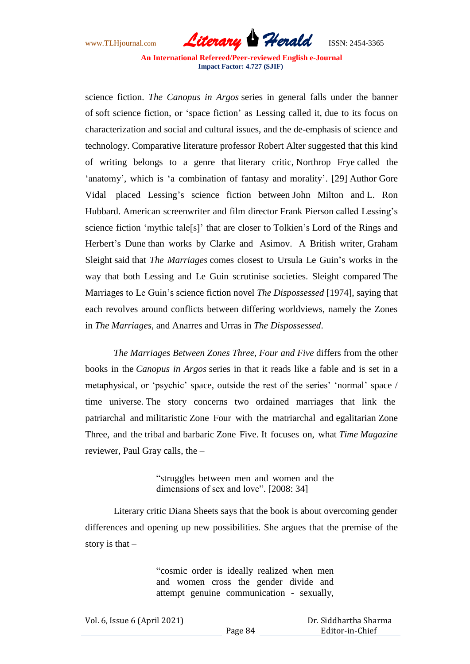www.TLHjournal.com *Literary Herald*ISSN: 2454-3365

science fiction. *The Canopus in Argos* series in general falls under the banner of soft science fiction, or "space fiction" as Lessing called it, due to its focus on characterization and social and cultural issues, and the de-emphasis of science and technology. Comparative literature professor Robert Alter suggested that this kind of writing belongs to a genre that literary critic, Northrop Frye called the 'anatomy', which is 'a combination of fantasy and morality'. [29] Author Gore Vidal placed Lessing"s science fiction between John Milton and L. Ron Hubbard. American screenwriter and film director Frank Pierson called Lessing"s science fiction 'mythic tale<sup>[s]</sup>' that are closer to Tolkien's Lord of the Rings and Herbert's Dune than works by Clarke and Asimov. A British writer, Graham Sleight said that *The Marriages* comes closest to Ursula Le Guin"s works in the way that both Lessing and Le Guin scrutinise societies. Sleight compared The Marriages to Le Guin"s science fiction novel *The Dispossessed* [1974], saying that each revolves around conflicts between differing worldviews, namely the Zones in *The Marriages*, and Anarres and Urras in *The Dispossessed*.

*The Marriages Between Zones Three, Four and Five* differs from the other books in the *Canopus in Argos* series in that it reads like a fable and is set in a metaphysical, or 'psychic' space, outside the rest of the series' 'normal' space / time universe. The story concerns two ordained marriages that link the patriarchal and militaristic Zone Four with the matriarchal and egalitarian Zone Three, and the tribal and barbaric Zone Five. It focuses on, what *Time Magazine* reviewer, Paul Gray calls, the –

> "struggles between men and women and the dimensions of sex and love". [2008: 34]

Literary critic Diana Sheets says that the book is about overcoming gender differences and opening up new possibilities. She argues that the premise of the story is that –

> "cosmic order is ideally realized when men and women cross the gender divide and attempt genuine communication - sexually,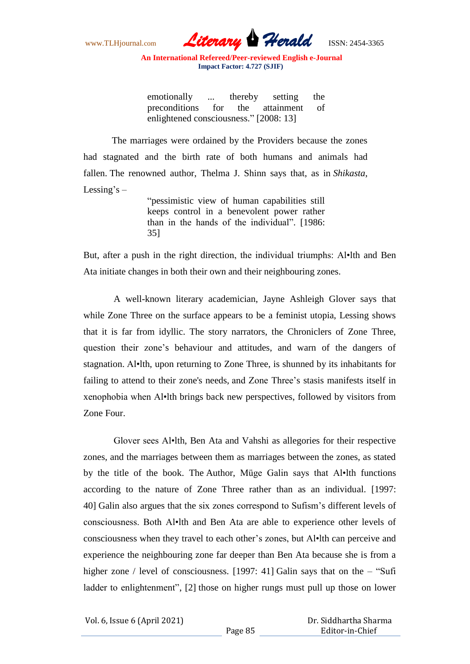www.TLHjournal.com *Literary Herald*ISSN: 2454-3365

emotionally ... thereby setting the preconditions for the attainment of enlightened consciousness." [2008: 13]

The marriages were ordained by the Providers because the zones had stagnated and the birth rate of both humans and animals had fallen. The renowned author, Thelma J. Shinn says that, as in *Shikasta*, Lessing's  $-$ 

"pessimistic view of human capabilities still keeps control in a benevolent power rather than in the hands of the individual". [1986: 35]

But, after a push in the right direction, the individual triumphs: Al•lth and Ben Ata initiate changes in both their own and their neighbouring zones.

A well-known literary academician, Jayne Ashleigh Glover says that while Zone Three on the surface appears to be a feminist utopia, Lessing shows that it is far from idyllic. The story narrators, the Chroniclers of Zone Three, question their zone"s behaviour and attitudes, and warn of the dangers of stagnation. Al•lth, upon returning to Zone Three, is shunned by its inhabitants for failing to attend to their zone's needs, and Zone Three"s stasis manifests itself in xenophobia when Al•lth brings back new perspectives, followed by visitors from Zone Four.

Glover sees Al•lth, Ben Ata and Vahshi as allegories for their respective zones, and the marriages between them as marriages between the zones, as stated by the title of the book. The Author, Müge Galin says that Al•lth functions according to the nature of Zone Three rather than as an individual. [1997: 40] Galin also argues that the six zones correspond to Sufism"s different levels of consciousness. Both Al•lth and Ben Ata are able to experience other levels of consciousness when they travel to each other"s zones, but Al•lth can perceive and experience the neighbouring zone far deeper than Ben Ata because she is from a higher zone / level of consciousness. [1997: 41] Galin says that on the – "Sufi ladder to enlightenment", [2] those on higher rungs must pull up those on lower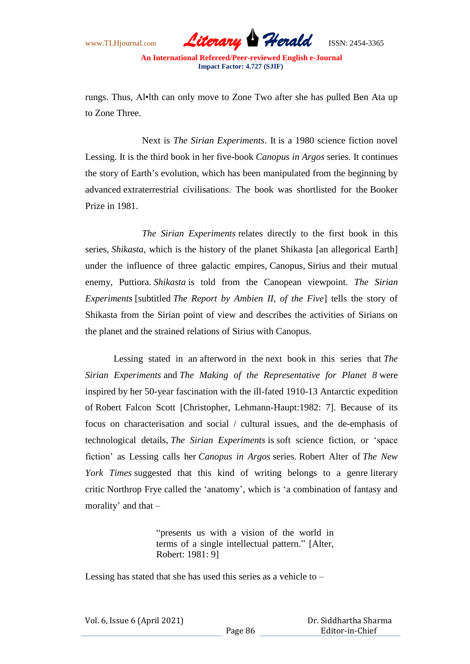rungs. Thus, Al•lth can only move to Zone Two after she has pulled Ben Ata up to Zone Three.

Next is *The Sirian Experiments*. It is a 1980 science fiction novel Lessing. It is the third book in her five-book *Canopus in Argos* series. It continues the story of Earth"s evolution, which has been manipulated from the beginning by advanced extraterrestrial civilisations. The book was shortlisted for the Booker Prize in 1981.

*The Sirian Experiments* relates directly to the first book in this series, *Shikasta*, which is the history of the planet Shikasta [an allegorical Earth] under the influence of three galactic empires, Canopus, Sirius and their mutual enemy, Puttiora. *Shikasta* is told from the Canopean viewpoint. *The Sirian Experiments* [subtitled *The Report by Ambien II, of the Five*] tells the story of Shikasta from the Sirian point of view and describes the activities of Sirians on the planet and the strained relations of Sirius with Canopus.

Lessing stated in an afterword in the next book in this series that *The Sirian Experiments* and *The Making of the Representative for Planet 8* were inspired by her 50-year fascination with the ill-fated 1910-13 Antarctic expedition of Robert Falcon Scott [Christopher, Lehmann-Haupt:1982: 7]. Because of its focus on characterisation and social / cultural issues, and the de-emphasis of technological details, *The Sirian Experiments* is soft science fiction, or "space fiction" as Lessing calls her *Canopus in Argos* series. Robert Alter of *The New York Times* suggested that this kind of writing belongs to a genre literary critic Northrop Frye called the "anatomy", which is "a combination of fantasy and morality" and that –

> "presents us with a vision of the world in terms of a single intellectual pattern." [Alter, Robert: 1981: 9]

Lessing has stated that she has used this series as a vehicle to –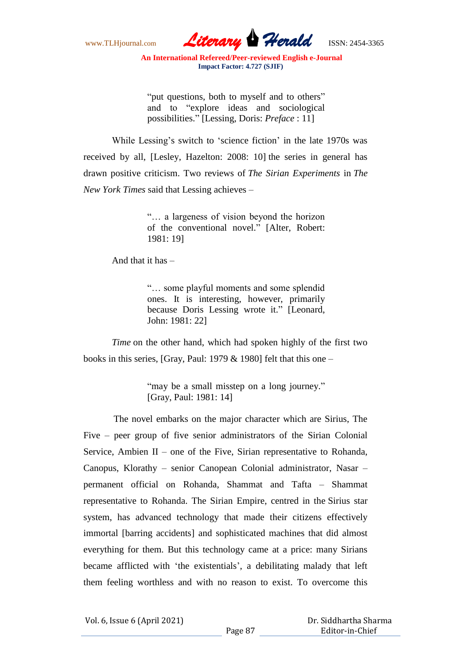www.TLHjournal.com *Literary Herald*ISSN: 2454-3365

"put questions, both to myself and to others" and to "explore ideas and sociological possibilities." [Lessing, Doris: *Preface* : 11]

While Lessing's switch to 'science fiction' in the late 1970s was received by all, [Lesley, Hazelton: 2008: 10] the series in general has drawn positive criticism. Two reviews of *The Sirian Experiments* in *The New York Times* said that Lessing achieves –

> "… a largeness of vision beyond the horizon of the conventional novel." [Alter, Robert: 1981: 19]

And that it has –

"… some playful moments and some splendid ones. It is interesting, however, primarily because Doris Lessing wrote it." [Leonard, John: 1981: 22]

*Time* on the other hand, which had spoken highly of the first two books in this series, [Gray, Paul: 1979  $&$  1980] felt that this one –

> "may be a small misstep on a long journey." [Gray, Paul: 1981: 14]

The novel embarks on the major character which are Sirius, The Five – peer group of five senior administrators of the Sirian Colonial Service, Ambien II – one of the Five, Sirian representative to Rohanda, Canopus, Klorathy – senior Canopean Colonial administrator, Nasar – permanent official on Rohanda, Shammat and Tafta – Shammat representative to Rohanda. The Sirian Empire, centred in the Sirius star system, has advanced technology that made their citizens effectively immortal [barring accidents] and sophisticated machines that did almost everything for them. But this technology came at a price: many Sirians became afflicted with "the existentials", a debilitating malady that left them feeling worthless and with no reason to exist. To overcome this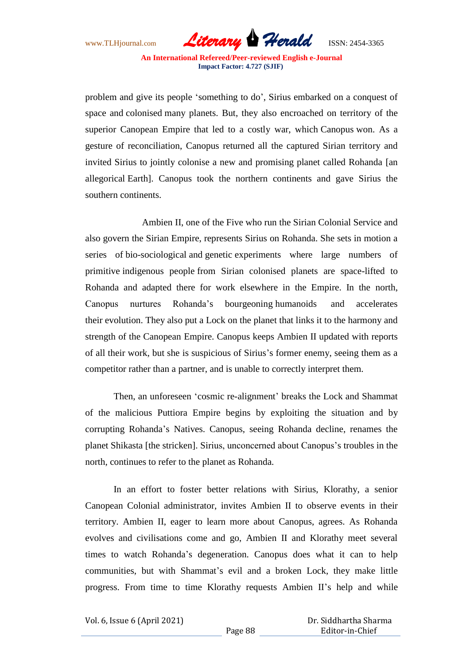www.TLHjournal.com *Literary Herald*ISSN: 2454-3365

problem and give its people "something to do", Sirius embarked on a conquest of space and colonised many planets. But, they also encroached on territory of the superior Canopean Empire that led to a costly war, which Canopus won. As a gesture of reconciliation, Canopus returned all the captured Sirian territory and invited Sirius to jointly colonise a new and promising planet called Rohanda [an allegorical Earth]. Canopus took the northern continents and gave Sirius the southern continents.

Ambien II, one of the Five who run the Sirian Colonial Service and also govern the Sirian Empire, represents Sirius on Rohanda. She sets in motion a series of bio-sociological and genetic experiments where large numbers of primitive indigenous people from Sirian colonised planets are space-lifted to Rohanda and adapted there for work elsewhere in the Empire. In the north, Canopus nurtures Rohanda"s bourgeoning humanoids and accelerates their evolution. They also put a Lock on the planet that links it to the harmony and strength of the Canopean Empire. Canopus keeps Ambien II updated with reports of all their work, but she is suspicious of Sirius"s former enemy, seeing them as a competitor rather than a partner, and is unable to correctly interpret them.

Then, an unforeseen "cosmic re-alignment" breaks the Lock and Shammat of the malicious Puttiora Empire begins by exploiting the situation and by corrupting Rohanda"s Natives. Canopus, seeing Rohanda decline, renames the planet Shikasta [the stricken]. Sirius, unconcerned about Canopus"s troubles in the north, continues to refer to the planet as Rohanda.

In an effort to foster better relations with Sirius, Klorathy, a senior Canopean Colonial administrator, invites Ambien II to observe events in their territory. Ambien II, eager to learn more about Canopus, agrees. As Rohanda evolves and civilisations come and go, Ambien II and Klorathy meet several times to watch Rohanda"s degeneration. Canopus does what it can to help communities, but with Shammat"s evil and a broken Lock, they make little progress. From time to time Klorathy requests Ambien II"s help and while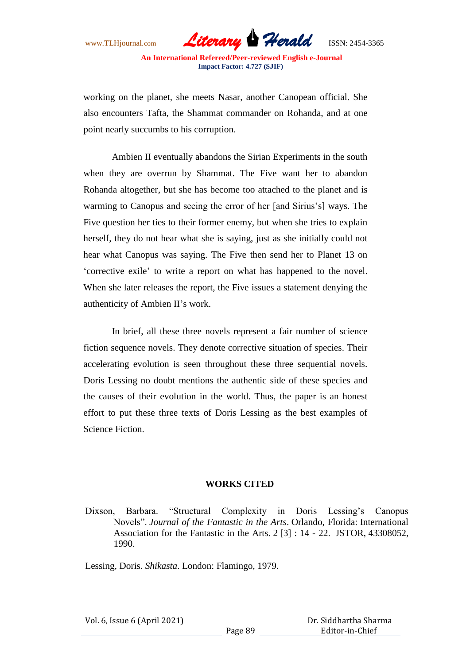

working on the planet, she meets Nasar, another Canopean official. She also encounters Tafta, the Shammat commander on Rohanda, and at one point nearly succumbs to his corruption.

Ambien II eventually abandons the Sirian Experiments in the south when they are overrun by Shammat. The Five want her to abandon Rohanda altogether, but she has become too attached to the planet and is warming to Canopus and seeing the error of her [and Sirius's] ways. The Five question her ties to their former enemy, but when she tries to explain herself, they do not hear what she is saying, just as she initially could not hear what Canopus was saying. The Five then send her to Planet 13 on "corrective exile" to write a report on what has happened to the novel. When she later releases the report, the Five issues a statement denying the authenticity of Ambien II"s work.

In brief, all these three novels represent a fair number of science fiction sequence novels. They denote corrective situation of species. Their accelerating evolution is seen throughout these three sequential novels. Doris Lessing no doubt mentions the authentic side of these species and the causes of their evolution in the world. Thus, the paper is an honest effort to put these three texts of Doris Lessing as the best examples of Science Fiction.

## **WORKS CITED**

Dixson, Barbara. "Structural Complexity in Doris Lessing's Canopus Novels". *Journal of the Fantastic in the Arts*. Orlando, Florida: International Association for the Fantastic in the Arts. 2 [3] : 14 - 22. JSTOR, 43308052, 1990.

Lessing, Doris. *Shikasta*. London: Flamingo, 1979.